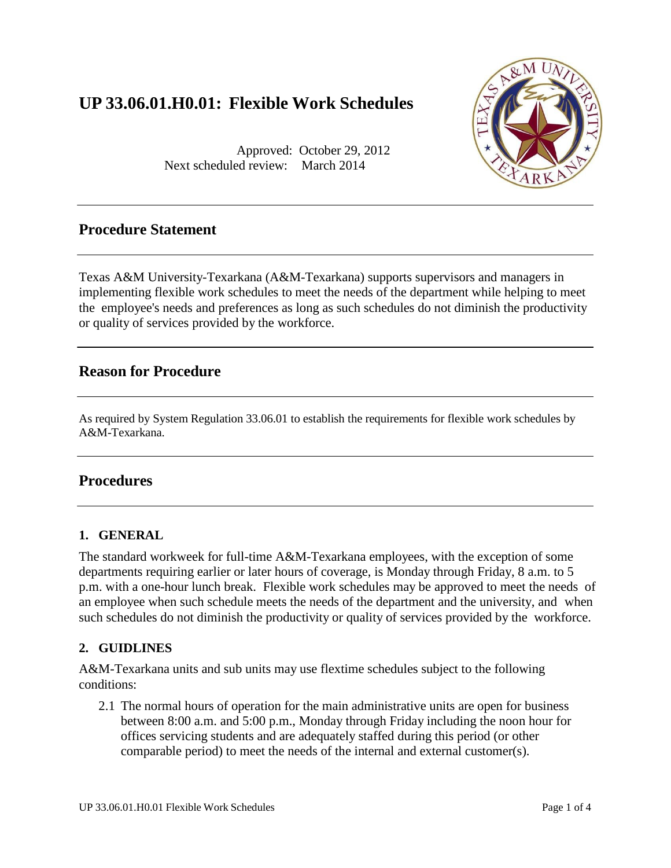# **UP 33.06.01.H0.01: Flexible Work Schedules**

Approved: October 29, 2012 Next scheduled review: March 2014



## **Procedure Statement**

Texas A&M University-Texarkana (A&M-Texarkana) supports supervisors and managers in implementing flexible work schedules to meet the needs of the department while helping to meet the employee's needs and preferences as long as such schedules do not diminish the productivity or quality of services provided by the workforce.

## **Reason for Procedure**

As required by System Regulation 33.06.01 to establish the requirements for flexible work schedules by A&M-Texarkana.

## **Procedures**

#### **1. GENERAL**

The standard workweek for full-time A&M-Texarkana employees, with the exception of some departments requiring earlier or later hours of coverage, is Monday through Friday, 8 a.m. to 5 p.m. with a one-hour lunch break. Flexible work schedules may be approved to meet the needs of an employee when such schedule meets the needs of the department and the university, and when such schedules do not diminish the productivity or quality of services provided by the workforce.

### **2. GUIDLINES**

A&M-Texarkana units and sub units may use flextime schedules subject to the following conditions:

2.1 The normal hours of operation for the main administrative units are open for business between 8:00 a.m. and 5:00 p.m., Monday through Friday including the noon hour for offices servicing students and are adequately staffed during this period (or other comparable period) to meet the needs of the internal and external customer(s).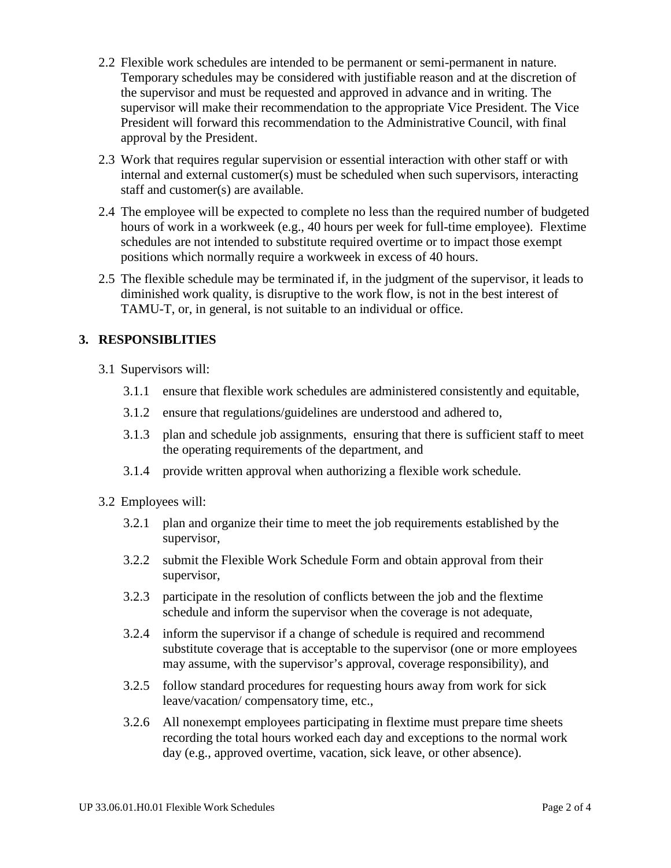- 2.2 Flexible work schedules are intended to be permanent or semi-permanent in nature. Temporary schedules may be considered with justifiable reason and at the discretion of the supervisor and must be requested and approved in advance and in writing. The supervisor will make their recommendation to the appropriate Vice President. The Vice President will forward this recommendation to the Administrative Council, with final approval by the President.
- 2.3 Work that requires regular supervision or essential interaction with other staff or with internal and external customer(s) must be scheduled when such supervisors, interacting staff and customer(s) are available.
- 2.4 The employee will be expected to complete no less than the required number of budgeted hours of work in a workweek (e.g., 40 hours per week for full-time employee). Flextime schedules are not intended to substitute required overtime or to impact those exempt positions which normally require a workweek in excess of 40 hours.
- 2.5 The flexible schedule may be terminated if, in the judgment of the supervisor, it leads to diminished work quality, is disruptive to the work flow, is not in the best interest of TAMU-T, or, in general, is not suitable to an individual or office.

## **3. RESPONSIBLITIES**

- 3.1 Supervisors will:
	- 3.1.1 ensure that flexible work schedules are administered consistently and equitable,
	- 3.1.2 ensure that regulations/guidelines are understood and adhered to,
	- 3.1.3 plan and schedule job assignments, ensuring that there is sufficient staff to meet the operating requirements of the department, and
	- 3.1.4 provide written approval when authorizing a flexible work schedule.
- 3.2 Employees will:
	- 3.2.1 plan and organize their time to meet the job requirements established by the supervisor,
	- 3.2.2 submit the Flexible Work Schedule Form and obtain approval from their supervisor,
	- 3.2.3 participate in the resolution of conflicts between the job and the flextime schedule and inform the supervisor when the coverage is not adequate,
	- 3.2.4 inform the supervisor if a change of schedule is required and recommend substitute coverage that is acceptable to the supervisor (one or more employees may assume, with the supervisor's approval, coverage responsibility), and
	- 3.2.5 follow standard procedures for requesting hours away from work for sick leave/vacation/ compensatory time, etc.,
	- 3.2.6 All nonexempt employees participating in flextime must prepare time sheets recording the total hours worked each day and exceptions to the normal work day (e.g., approved overtime, vacation, sick leave, or other absence).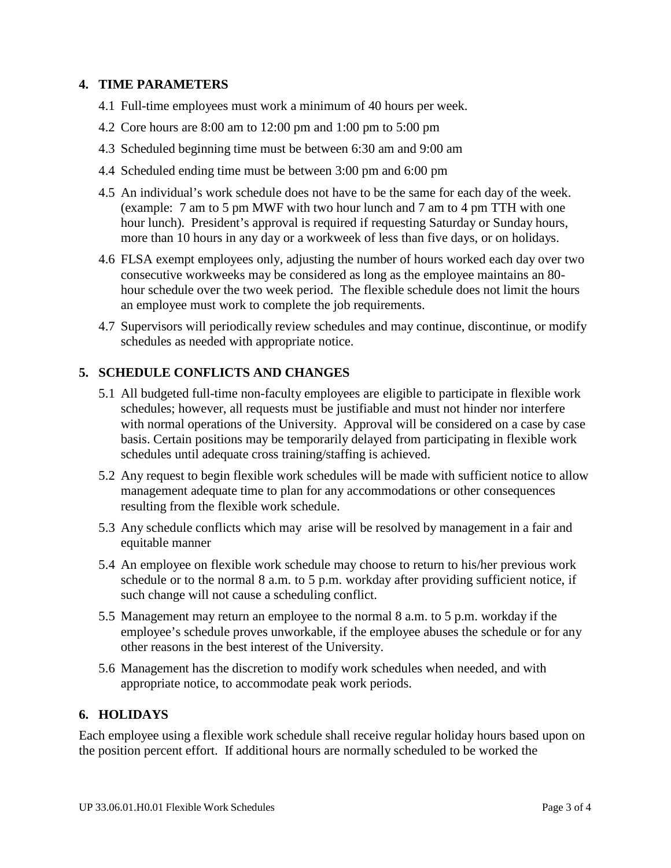#### **4. TIME PARAMETERS**

- 4.1 Full-time employees must work a minimum of 40 hours per week.
- 4.2 Core hours are 8:00 am to 12:00 pm and 1:00 pm to 5:00 pm
- 4.3 Scheduled beginning time must be between 6:30 am and 9:00 am
- 4.4 Scheduled ending time must be between 3:00 pm and 6:00 pm
- 4.5 An individual's work schedule does not have to be the same for each day of the week. (example: 7 am to 5 pm MWF with two hour lunch and 7 am to 4 pm TTH with one hour lunch). President's approval is required if requesting Saturday or Sunday hours, more than 10 hours in any day or a workweek of less than five days, or on holidays.
- 4.6 FLSA exempt employees only, adjusting the number of hours worked each day over two consecutive workweeks may be considered as long as the employee maintains an 80 hour schedule over the two week period. The flexible schedule does not limit the hours an employee must work to complete the job requirements.
- 4.7 Supervisors will periodically review schedules and may continue, discontinue, or modify schedules as needed with appropriate notice.

#### **5. SCHEDULE CONFLICTS AND CHANGES**

- 5.1 All budgeted full-time non-faculty employees are eligible to participate in flexible work schedules; however, all requests must be justifiable and must not hinder nor interfere with normal operations of the University. Approval will be considered on a case by case basis. Certain positions may be temporarily delayed from participating in flexible work schedules until adequate cross training/staffing is achieved.
- 5.2 Any request to begin flexible work schedules will be made with sufficient notice to allow management adequate time to plan for any accommodations or other consequences resulting from the flexible work schedule.
- 5.3 Any schedule conflicts which may arise will be resolved by management in a fair and equitable manner
- 5.4 An employee on flexible work schedule may choose to return to his/her previous work schedule or to the normal 8 a.m. to 5 p.m. workday after providing sufficient notice, if such change will not cause a scheduling conflict.
- 5.5 Management may return an employee to the normal 8 a.m. to 5 p.m. workday if the employee's schedule proves unworkable, if the employee abuses the schedule or for any other reasons in the best interest of the University.
- 5.6 Management has the discretion to modify work schedules when needed, and with appropriate notice, to accommodate peak work periods.

#### **6. HOLIDAYS**

Each employee using a flexible work schedule shall receive regular holiday hours based upon on the position percent effort. If additional hours are normally scheduled to be worked the